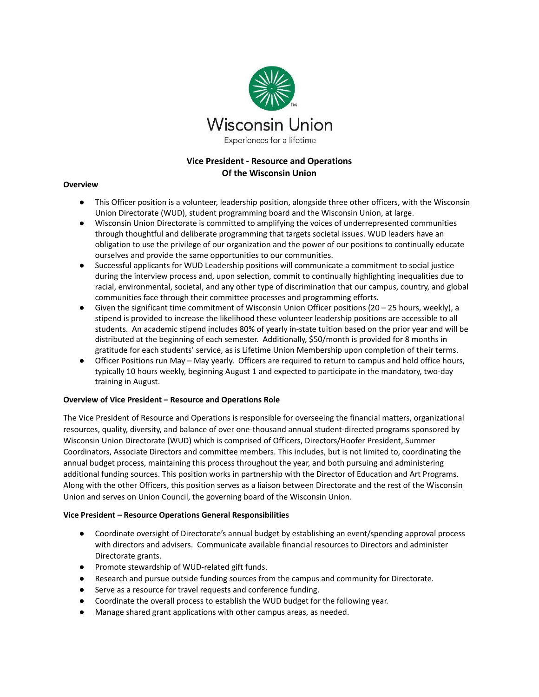

# **Vice President - Resource and Operations Of the Wisconsin Union**

### **Overview**

- This Officer position is a volunteer, leadership position, alongside three other officers, with the Wisconsin Union Directorate (WUD), student programming board and the Wisconsin Union, at large.
- Wisconsin Union Directorate is committed to amplifying the voices of underrepresented communities through thoughtful and deliberate programming that targets societal issues. WUD leaders have an obligation to use the privilege of our organization and the power of our positions to continually educate ourselves and provide the same opportunities to our communities.
- Successful applicants for WUD Leadership positions will communicate a commitment to social justice during the interview process and, upon selection, commit to continually highlighting inequalities due to racial, environmental, societal, and any other type of discrimination that our campus, country, and global communities face through their committee processes and programming efforts.
- $\bullet$  Given the significant time commitment of Wisconsin Union Officer positions (20 25 hours, weekly), a stipend is provided to increase the likelihood these volunteer leadership positions are accessible to all students. An academic stipend includes 80% of yearly in-state tuition based on the prior year and will be distributed at the beginning of each semester. Additionally, \$50/month is provided for 8 months in gratitude for each students' service, as is Lifetime Union Membership upon completion of their terms.
- Officer Positions run May May yearly. Officers are required to return to campus and hold office hours, typically 10 hours weekly, beginning August 1 and expected to participate in the mandatory, two-day training in August.

#### **Overview of Vice President – Resource and Operations Role**

The Vice President of Resource and Operations is responsible for overseeing the financial matters, organizational resources, quality, diversity, and balance of over one-thousand annual student-directed programs sponsored by Wisconsin Union Directorate (WUD) which is comprised of Officers, Directors/Hoofer President, Summer Coordinators, Associate Directors and committee members. This includes, but is not limited to, coordinating the annual budget process, maintaining this process throughout the year, and both pursuing and administering additional funding sources. This position works in partnership with the Director of Education and Art Programs. Along with the other Officers, this position serves as a liaison between Directorate and the rest of the Wisconsin Union and serves on Union Council, the governing board of the Wisconsin Union.

#### **Vice President – Resource Operations General Responsibilities**

- Coordinate oversight of Directorate's annual budget by establishing an event/spending approval process with directors and advisers. Communicate available financial resources to Directors and administer Directorate grants.
- Promote stewardship of WUD-related gift funds.
- Research and pursue outside funding sources from the campus and community for Directorate.
- Serve as a resource for travel requests and conference funding.
- Coordinate the overall process to establish the WUD budget for the following year.
- Manage shared grant applications with other campus areas, as needed.